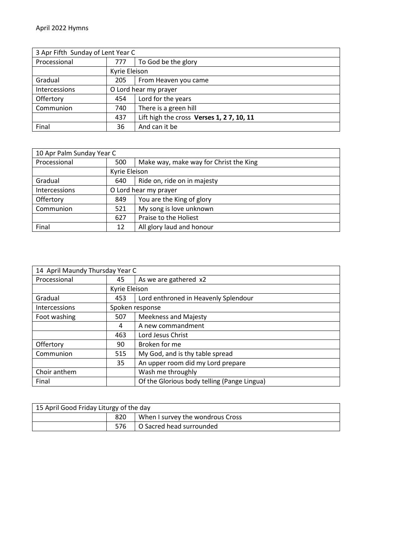| 3 Apr Fifth Sunday of Lent Year C |                       |                                          |
|-----------------------------------|-----------------------|------------------------------------------|
| Processional                      | 777                   | To God be the glory                      |
|                                   | Kyrie Eleison         |                                          |
| Gradual                           | 205                   | From Heaven you came                     |
| Intercessions                     | O Lord hear my prayer |                                          |
| Offertory                         | 454                   | Lord for the years                       |
| Communion                         | 740                   | There is a green hill                    |
|                                   | 437                   | Lift high the cross Verses 1, 27, 10, 11 |
| Final                             | 36                    | And can it be                            |

| 10 Apr Palm Sunday Year C |                       |                                        |
|---------------------------|-----------------------|----------------------------------------|
| Processional              | 500                   | Make way, make way for Christ the King |
|                           | Kyrie Eleison         |                                        |
| Gradual                   | 640                   | Ride on, ride on in majesty            |
| Intercessions             | O Lord hear my prayer |                                        |
| Offertory                 | 849                   | You are the King of glory              |
| Communion                 | 521                   | My song is love unknown                |
|                           | 627                   | Praise to the Holiest                  |
| Final                     | 12                    | All glory laud and honour              |

| 14 April Maundy Thursday Year C |                 |                                             |
|---------------------------------|-----------------|---------------------------------------------|
| Processional                    | 45              | As we are gathered x2                       |
|                                 | Kyrie Eleison   |                                             |
| Gradual                         | 453             | Lord enthroned in Heavenly Splendour        |
| Intercessions                   | Spoken response |                                             |
| Foot washing                    | 507             | <b>Meekness and Majesty</b>                 |
|                                 | 4               | A new commandment                           |
|                                 | 463             | Lord Jesus Christ                           |
| Offertory                       | 90              | Broken for me                               |
| Communion                       | 515             | My God, and is thy table spread             |
|                                 | 35              | An upper room did my Lord prepare           |
| Choir anthem                    |                 | Wash me throughly                           |
| Final                           |                 | Of the Glorious body telling (Pange Lingua) |

| 15 April Good Friday Liturgy of the day |     |                                  |
|-----------------------------------------|-----|----------------------------------|
|                                         | 820 | When I survey the wondrous Cross |
|                                         |     | 576   O Sacred head surrounded   |